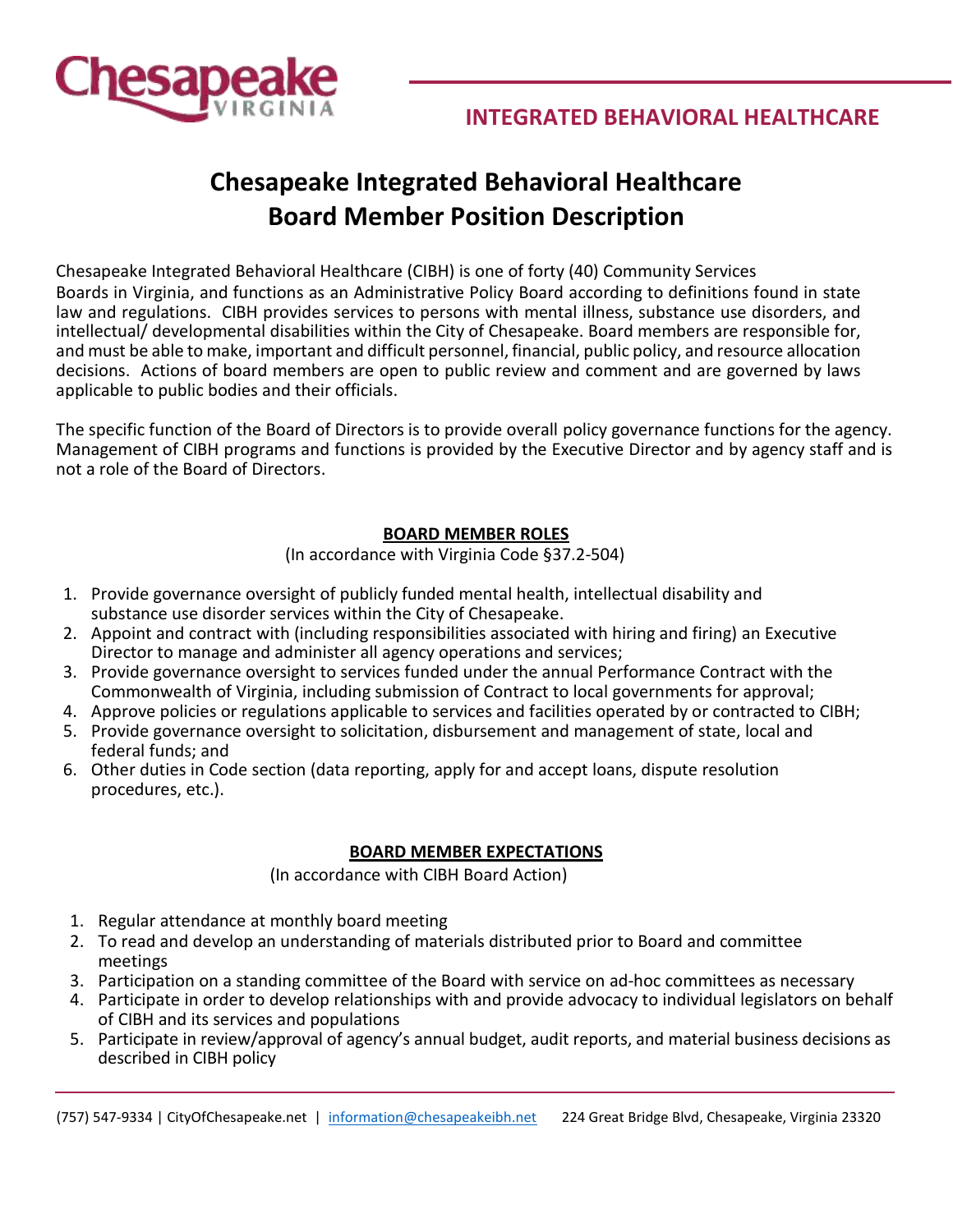

# **Chesapeake Integrated Behavioral Healthcare Board Member Position Description**

Chesapeake Integrated Behavioral Healthcare (CIBH) is one of forty (40) Community Services Boards in Virginia, and functions as an Administrative Policy Board according to definitions found in state law and regulations. CIBH provides services to persons with mental illness, substance use disorders, and intellectual/ developmental disabilities within the City of Chesapeake. Board members are responsible for, and must be able to make, important and difficult personnel, financial, public policy, and resource allocation decisions. Actions of board members are open to public review and comment and are governed by laws applicable to public bodies and their officials.

The specific function of the Board of Directors is to provide overall policy governance functions for the agency. Management of CIBH programs and functions is provided by the Executive Director and by agency staff and is not a role of the Board of Directors.

# **BOARD MEMBER ROLES**

(In accordance with Virginia Code §37.2-504)

- 1. Provide governance oversight of publicly funded mental health, intellectual disability and substance use disorder services within the City of Chesapeake.
- 2. Appoint and contract with (including responsibilities associated with hiring and firing) an Executive Director to manage and administer all agency operations and services;
- 3. Provide governance oversight to services funded under the annual Performance Contract with the Commonwealth of Virginia, including submission of Contract to local governments for approval;
- 4. Approve policies or regulations applicable to services and facilities operated by or contracted to CIBH;
- 5. Provide governance oversight to solicitation, disbursement and management of state, local and federal funds; and
- 6. Other duties in Code section (data reporting, apply for and accept loans, dispute resolution procedures, etc.).

### **BOARD MEMBER EXPECTATIONS**

(In accordance with CIBH Board Action)

- 1. Regular attendance at monthly board meeting
- 2. To read and develop an understanding of materials distributed prior to Board and committee meetings
- 3. Participation on a standing committee of the Board with service on ad-hoc committees as necessary
- 4. Participate in order to develop relationships with and provide advocacy to individual legislators on behalf of CIBH and its services and populations
- 5. Participate in review/approval of agency's annual budget, audit reports, and material business decisions as described in CIBH policy